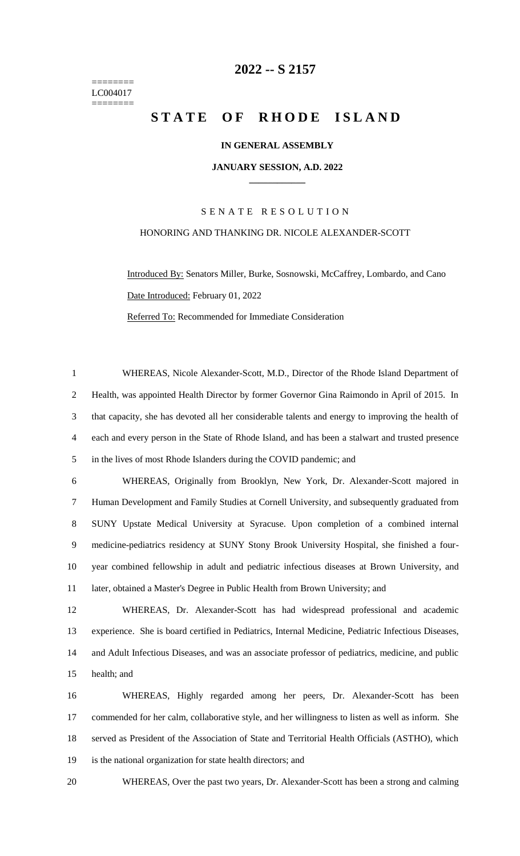======== LC004017 ========

### **-- S 2157**

## **STATE OF RHODE ISLAND**

#### **IN GENERAL ASSEMBLY**

#### **JANUARY SESSION, A.D. 2022 \_\_\_\_\_\_\_\_\_\_\_\_**

# S E N A T E R E S O L U T I O N HONORING AND THANKING DR. NICOLE ALEXANDER-SCOTT

Introduced By: Senators Miller, Burke, Sosnowski, McCaffrey, Lombardo, and Cano Date Introduced: February 01, 2022 Referred To: Recommended for Immediate Consideration

 WHEREAS, Nicole Alexander-Scott, M.D., Director of the Rhode Island Department of Health, was appointed Health Director by former Governor Gina Raimondo in April of 2015. In that capacity, she has devoted all her considerable talents and energy to improving the health of each and every person in the State of Rhode Island, and has been a stalwart and trusted presence in the lives of most Rhode Islanders during the COVID pandemic; and WHEREAS, Originally from Brooklyn, New York, Dr. Alexander-Scott majored in Human Development and Family Studies at Cornell University, and subsequently graduated from SUNY Upstate Medical University at Syracuse. Upon completion of a combined internal medicine-pediatrics residency at SUNY Stony Brook University Hospital, she finished a four- year combined fellowship in adult and pediatric infectious diseases at Brown University, and later, obtained a Master's Degree in Public Health from Brown University; and

 WHEREAS, Dr. Alexander-Scott has had widespread professional and academic experience. She is board certified in Pediatrics, Internal Medicine, Pediatric Infectious Diseases, and Adult Infectious Diseases, and was an associate professor of pediatrics, medicine, and public health; and

 WHEREAS, Highly regarded among her peers, Dr. Alexander-Scott has been commended for her calm, collaborative style, and her willingness to listen as well as inform. She served as President of the Association of State and Territorial Health Officials (ASTHO), which is the national organization for state health directors; and

WHEREAS, Over the past two years, Dr. Alexander-Scott has been a strong and calming